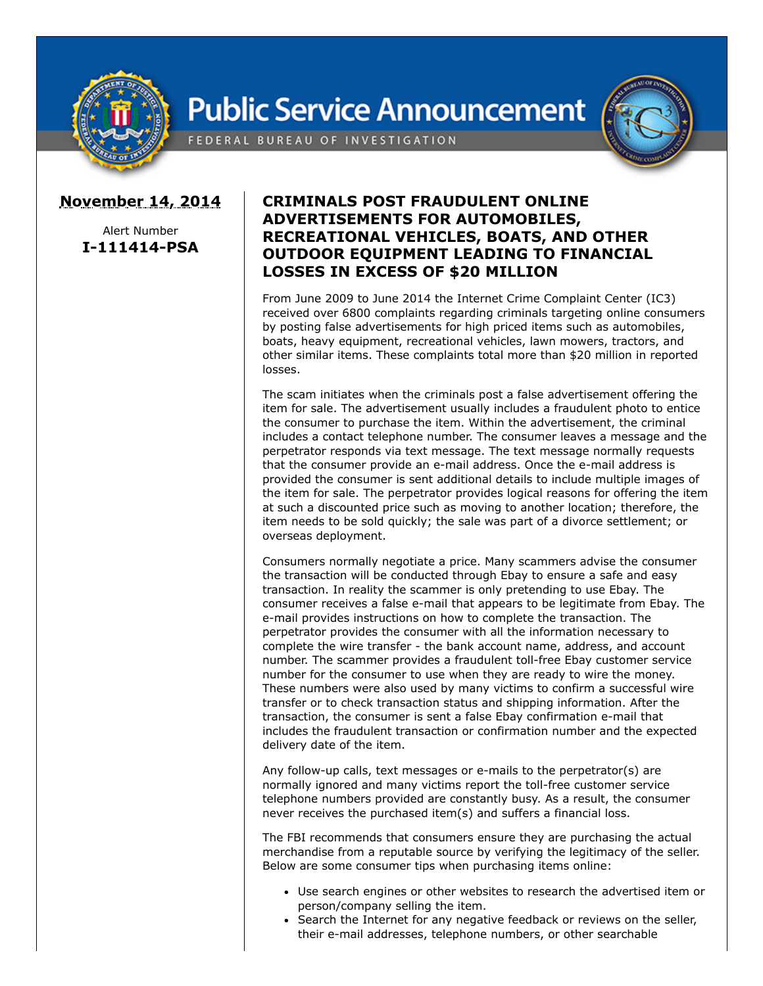

## **Public Service Announcement**





## **November 14, 2014**

Alert Number **I-111414-PSA**

## **CRIMINALS POST FRAUDULENT ONLINE ADVERTISEMENTS FOR AUTOMOBILES, RECREATIONAL VEHICLES, BOATS, AND OTHER OUTDOOR EQUIPMENT LEADING TO FINANCIAL LOSSES IN EXCESS OF \$20 MILLION**

From June 2009 to June 2014 the Internet Crime Complaint Center (IC3) received over 6800 complaints regarding criminals targeting online consumers by posting false advertisements for high priced items such as automobiles, boats, heavy equipment, recreational vehicles, lawn mowers, tractors, and other similar items. These complaints total more than \$20 million in reported losses.

The scam initiates when the criminals post a false advertisement offering the item for sale. The advertisement usually includes a fraudulent photo to entice the consumer to purchase the item. Within the advertisement, the criminal includes a contact telephone number. The consumer leaves a message and the perpetrator responds via text message. The text message normally requests that the consumer provide an e-mail address. Once the e-mail address is provided the consumer is sent additional details to include multiple images of the item for sale. The perpetrator provides logical reasons for offering the item at such a discounted price such as moving to another location; therefore, the item needs to be sold quickly; the sale was part of a divorce settlement; or overseas deployment.

Consumers normally negotiate a price. Many scammers advise the consumer the transaction will be conducted through Ebay to ensure a safe and easy transaction. In reality the scammer is only pretending to use Ebay. The consumer receives a false e-mail that appears to be legitimate from Ebay. The e-mail provides instructions on how to complete the transaction. The perpetrator provides the consumer with all the information necessary to complete the wire transfer - the bank account name, address, and account number. The scammer provides a fraudulent toll-free Ebay customer service number for the consumer to use when they are ready to wire the money. These numbers were also used by many victims to confirm a successful wire transfer or to check transaction status and shipping information. After the transaction, the consumer is sent a false Ebay confirmation e-mail that includes the fraudulent transaction or confirmation number and the expected delivery date of the item.

Any follow-up calls, text messages or e-mails to the perpetrator(s) are normally ignored and many victims report the toll-free customer service telephone numbers provided are constantly busy. As a result, the consumer never receives the purchased item(s) and suffers a financial loss.

The FBI recommends that consumers ensure they are purchasing the actual merchandise from a reputable source by verifying the legitimacy of the seller. Below are some consumer tips when purchasing items online:

- Use search engines or other websites to research the advertised item or person/company selling the item.
- Search the Internet for any negative feedback or reviews on the seller, their e-mail addresses, telephone numbers, or other searchable